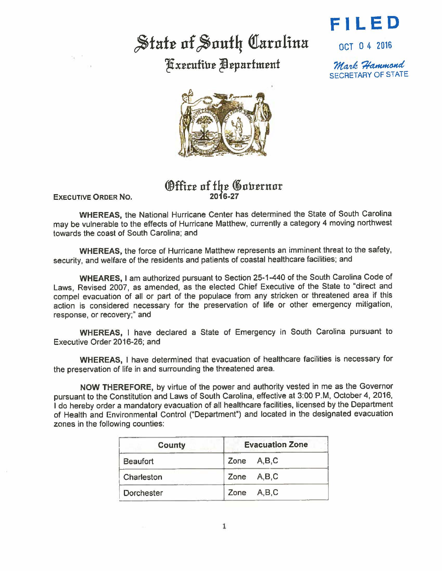## State of South Carolina

Fxecutive Department



OCT O 4 2016

Mark Hammond SECRETARY OF STATE



## *@ffitt* of fhJ? ~ott:ernor 2016-27

**EXECUTIVE ORDER No.** 

**WHEREAS,** the National Hurricane Center has determined the State of South Carolina may be vulnerable to the effects of Hurricane Matthew, currently a category 4 moving northwest towards the coast of South Carolina; and

**WHEREAS,** the force of Hurricane Matthew represents an imminent threat to the safety, security, and welfare of the residents and patients of coastal healthcare facilities; and

**WHEARES,** I am authorized pursuant to Section 25-1-440 of the South Carolina Code of Laws, Revised 2007, as amended, as the elected Chief Executive of the State to "direct and compel evacuation of all or part of the populace from any stricken or threatened area if this action is considered necessary for the preservation of life or other emergency mitigation, response, or recovery;" and

**WHEREAS,** 1 have declared a State of Emergency in South Carolina pursuant to Executive Order 2016-26; and

**WHEREAS,** I have determined that evacuation of healthcare facilities is necessary for the preservation of life in and surrounding the threatened area.

NOW THEREFORE, by virtue of the power and authority vested in me as the Governor pursuant to the Constitution and Laws of South Carolina, effective at 3:00 P.M, October 4, 2016, I do hereby order a mandatory evacuation of all healthcare facilities, licensed by the Department of Health and Environmental Control ("Department") and located in the designated evacuation zones in the following counties:

| <b>County</b>     | <b>Evacuation Zone</b> |
|-------------------|------------------------|
| <b>Beaufort</b>   | Zone A,B,C             |
| Charleston        | Zone A,B,C             |
| <b>Dorchester</b> | Zone A,B,C             |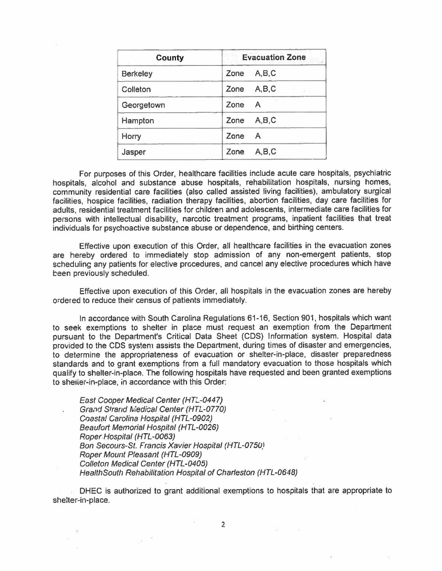| <b>County</b>   | <b>Evacuation Zone</b> |
|-----------------|------------------------|
| <b>Berkeley</b> | A, B, C<br>Zone        |
| Colleton        | A, B, C<br>Zone        |
| Georgetown      | Zone<br>$\mathsf{A}$   |
| Hampton         | A,B,C<br>Zone          |
| Horry           | Zone<br>$\mathsf{A}$   |
| Jasper          | A, B, C<br>Zone        |

For purposes of this Order, healthcare facilities include acute care hospitals, psychiatric hospitals, alcohol and substance abuse hospitals, rehabilitation hospitals, nursing homes, community residential care facilities (also called assisted living facilities), ambulatory surgical facilities, hospice facilities, radiation therapy facilities, abortion facilities, day care facilities for adults, residential treatment facllities for children and adolescents, intermediate care facilities for persons with intellectual disability, narcotic treatment programs, inpatient facilities that treat individuals for psychoactive substance abuse or dependence, and birthing centers.

Effective upon execution of this Order, all healthcare facilities in the evacuation zones are hereby ordered to immediately stop admission of any non-emergent patients, stop scheduling any patients for elective procedures, and cancel any elective procedures which have been previously scheduled.

Effective upon execution of this Order, all hospitals in the evacuation zones are hereby ordered to reduce their census of patients immediately.

In accordance with South Carolina Regulations 61-16, Section 901, hospitals which want to seek exemptions to shelter in place must request an exemption from the Department pursuant to the Department's Critical Data Sheet (CDS) Information system. Hospital data provided to the CDS system assists the Department, during times of disaster and emergencies, to determine the appropriateness of evacuation or shelter-in-place, disaster preparedness standards and to grant exemptions from a full mandatory evacuation to those hospitals which qualify to shelter-in-place. The following hospitals have requested and been granted exemptions to sheiter-in-place, in accordance with this Order:

East Cooper Medical Center (HTL-0447) Grand Strand Medical Center (HTL-0770) Coastal Carolina Hospital (HTL-0902) Beaufort Memorial Hospital (HTL-0026) Roper.Hospital (HTL-0063) Bon Secours-St. Francis Xavier Hospital (HTL-0750) Roper Mount Pleasant (HTL-0909) Colleton Medical Center (HTL-0405) HealthSouth Rehabilitation Hospital of Charleston (HTL-0648)

DHEC is authorized to grant additional exemptions to hospitals that are appropriate to shelter-in-place.